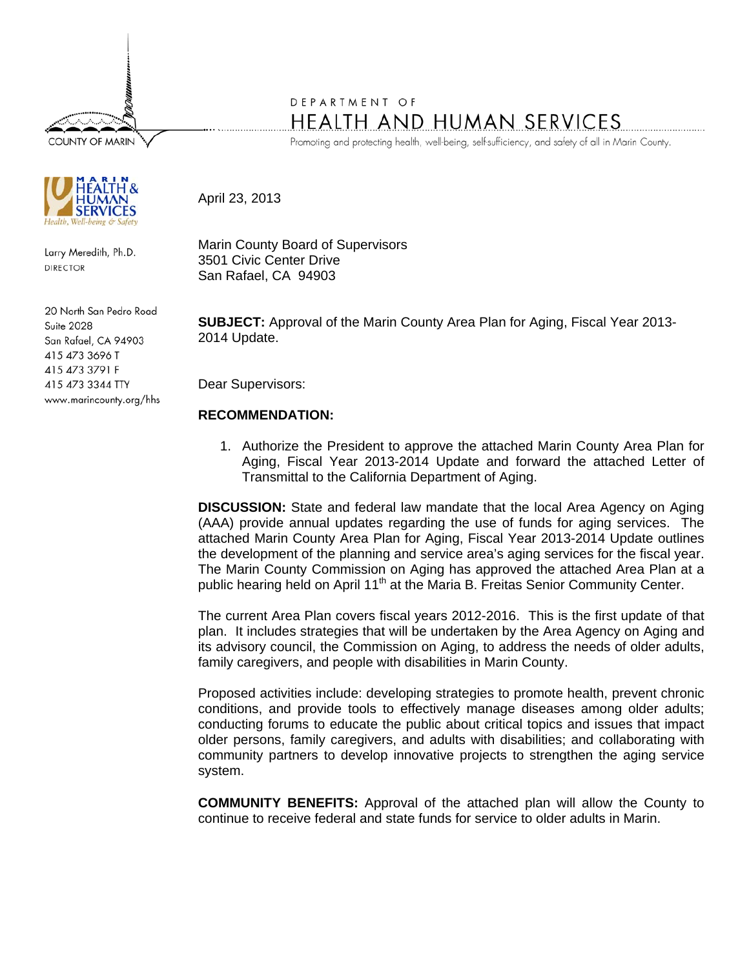**COUNTY OF MARIN** 



Larry Meredith, Ph.D. **DIRECTOR** 

20 North San Pedro Road Suite 2028 San Rafael, CA 94903 415 473 3696 T 415 473 3791 F 415 473 3344 TTY www.marincounty.org/hhs

## DEPARTMENT OF HEALTH AND HUMAN SERVICES

Promoting and protecting health, well-being, self-sufficiency, and safety of all in Marin County.

April 23, 2013

Marin County Board of Supervisors 3501 Civic Center Drive San Rafael, CA 94903

**SUBJECT:** Approval of the Marin County Area Plan for Aging, Fiscal Year 2013- 2014 Update.

Dear Supervisors:

## **RECOMMENDATION:**

1. Authorize the President to approve the attached Marin County Area Plan for Aging, Fiscal Year 2013-2014 Update and forward the attached Letter of Transmittal to the California Department of Aging.

**DISCUSSION:** State and federal law mandate that the local Area Agency on Aging (AAA) provide annual updates regarding the use of funds for aging services. The attached Marin County Area Plan for Aging, Fiscal Year 2013-2014 Update outlines the development of the planning and service area's aging services for the fiscal year. The Marin County Commission on Aging has approved the attached Area Plan at a public hearing held on April 11<sup>th</sup> at the Maria B. Freitas Senior Community Center.

The current Area Plan covers fiscal years 2012-2016. This is the first update of that plan. It includes strategies that will be undertaken by the Area Agency on Aging and its advisory council, the Commission on Aging, to address the needs of older adults, family caregivers, and people with disabilities in Marin County.

Proposed activities include: developing strategies to promote health, prevent chronic conditions, and provide tools to effectively manage diseases among older adults; conducting forums to educate the public about critical topics and issues that impact older persons, family caregivers, and adults with disabilities; and collaborating with community partners to develop innovative projects to strengthen the aging service system.

**COMMUNITY BENEFITS:** Approval of the attached plan will allow the County to continue to receive federal and state funds for service to older adults in Marin.